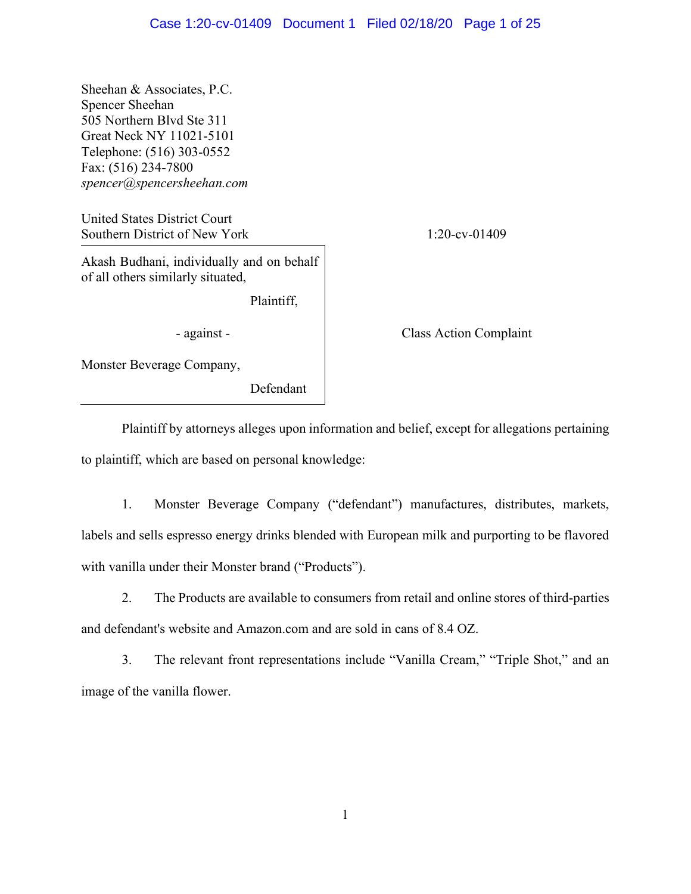Sheehan & Associates, P.C. Spencer Sheehan 505 Northern Blvd Ste 311 Great Neck NY 11021-5101 Telephone: (516) 303-0552 Fax: (516) 234-7800 *spencer@spencersheehan.com*

United States District Court Southern District of New York 1:20-cv-01409

Akash Budhani, individually and on behalf of all others similarly situated,

Plaintiff,

Monster Beverage Company,

Defendant

- against - Class Action Complaint

Plaintiff by attorneys alleges upon information and belief, except for allegations pertaining to plaintiff, which are based on personal knowledge:

1. Monster Beverage Company ("defendant") manufactures, distributes, markets, labels and sells espresso energy drinks blended with European milk and purporting to be flavored with vanilla under their Monster brand ("Products").

2. The Products are available to consumers from retail and online stores of third-parties and defendant's website and Amazon.com and are sold in cans of 8.4 OZ.

3. The relevant front representations include "Vanilla Cream," "Triple Shot," and an image of the vanilla flower.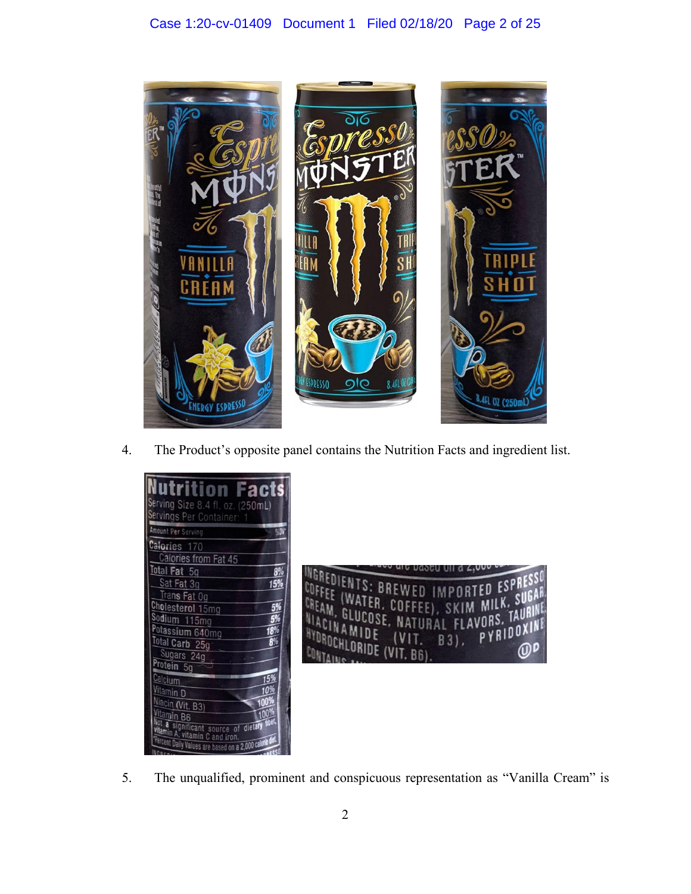

4. The Product's opposite panel contains the Nutrition Facts and ingredient list.

| utrition Facts<br>Serving Size 8.4 fl. oz. (250mL)                               |  |
|----------------------------------------------------------------------------------|--|
| Servings Per Container:<br><b>Amount Per Serving</b><br>94D)                     |  |
| Calories 170                                                                     |  |
| Calories from Fat 45<br>Total Fat 5g<br>8%                                       |  |
| Sat Fat 3g<br><b>15%</b><br>Trans Fat Og                                         |  |
| Cholesterol 15mg                                                                 |  |
| Sodium 115mg<br>Potassium 640mg<br>189                                           |  |
| Total Carb 25g<br>Sugars 24g                                                     |  |
| Protein 5g                                                                       |  |
| Calcium<br>15%<br>Vitamin D                                                      |  |
| Niacin (Vit. B3)                                                                 |  |
| <sup>/itamin B6</sup><br>h<br>significant source<br>of dietary                   |  |
| vitamin A, vitamin C and iron.<br>ercent Daily Values are based on a 2,000 calor |  |



5. The unqualified, prominent and conspicuous representation as "Vanilla Cream" is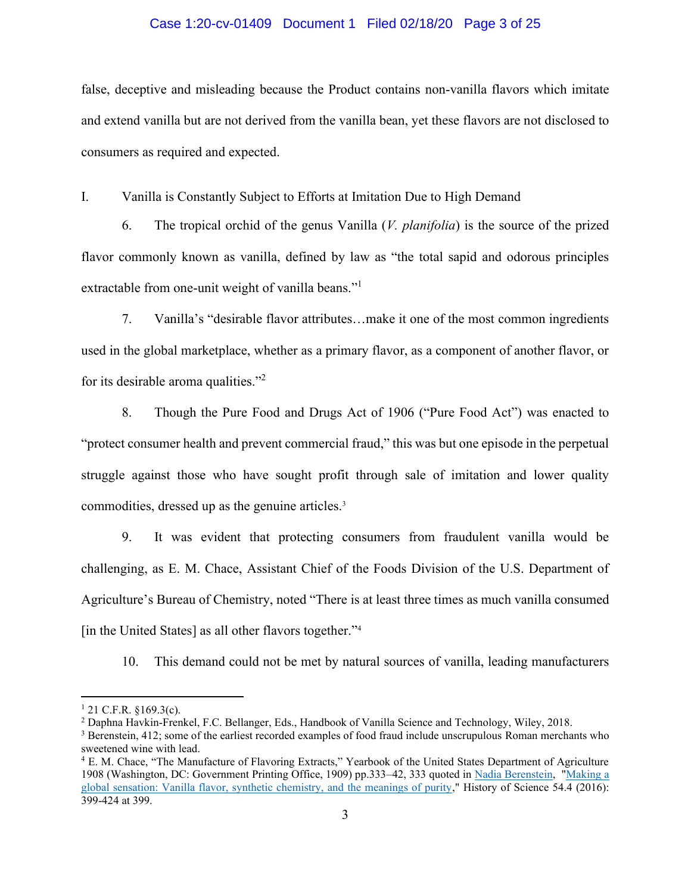## Case 1:20-cv-01409 Document 1 Filed 02/18/20 Page 3 of 25

false, deceptive and misleading because the Product contains non-vanilla flavors which imitate and extend vanilla but are not derived from the vanilla bean, yet these flavors are not disclosed to consumers as required and expected.

I. Vanilla is Constantly Subject to Efforts at Imitation Due to High Demand

6. The tropical orchid of the genus Vanilla (*V. planifolia*) is the source of the prized flavor commonly known as vanilla, defined by law as "the total sapid and odorous principles extractable from one-unit weight of vanilla beans."<sup>1</sup>

7. Vanilla's "desirable flavor attributes…make it one of the most common ingredients used in the global marketplace, whether as a primary flavor, as a component of another flavor, or for its desirable aroma qualities."<sup>2</sup>

8. Though the Pure Food and Drugs Act of 1906 ("Pure Food Act") was enacted to "protect consumer health and prevent commercial fraud," this was but one episode in the perpetual struggle against those who have sought profit through sale of imitation and lower quality commodities, dressed up as the genuine articles.3

9. It was evident that protecting consumers from fraudulent vanilla would be challenging, as E. M. Chace, Assistant Chief of the Foods Division of the U.S. Department of Agriculture's Bureau of Chemistry, noted "There is at least three times as much vanilla consumed [in the United States] as all other flavors together."<sup>4</sup>

10. This demand could not be met by natural sources of vanilla, leading manufacturers

 $1$  21 C.F.R. §169.3(c).

<sup>2</sup> Daphna Havkin-Frenkel, F.C. Bellanger, Eds., Handbook of Vanilla Science and Technology, Wiley, 2018.

<sup>&</sup>lt;sup>3</sup> Berenstein, 412; some of the earliest recorded examples of food fraud include unscrupulous Roman merchants who sweetened wine with lead.

<sup>4</sup> E. M. Chace, "The Manufacture of Flavoring Extracts," Yearbook of the United States Department of Agriculture 1908 (Washington, DC: Government Printing Office, 1909) pp.333–42, 333 quoted in [Nadia Berenstein,](http://nadiaberenstein.com/) ["Making a](https://www.ncbi.nlm.nih.gov/pubmed/28027702)  [global sensation: Vanilla flavor, synthetic chemistry, and the meanings of purity,](https://www.ncbi.nlm.nih.gov/pubmed/28027702)" History of Science 54.4 (2016): 399-424 at 399.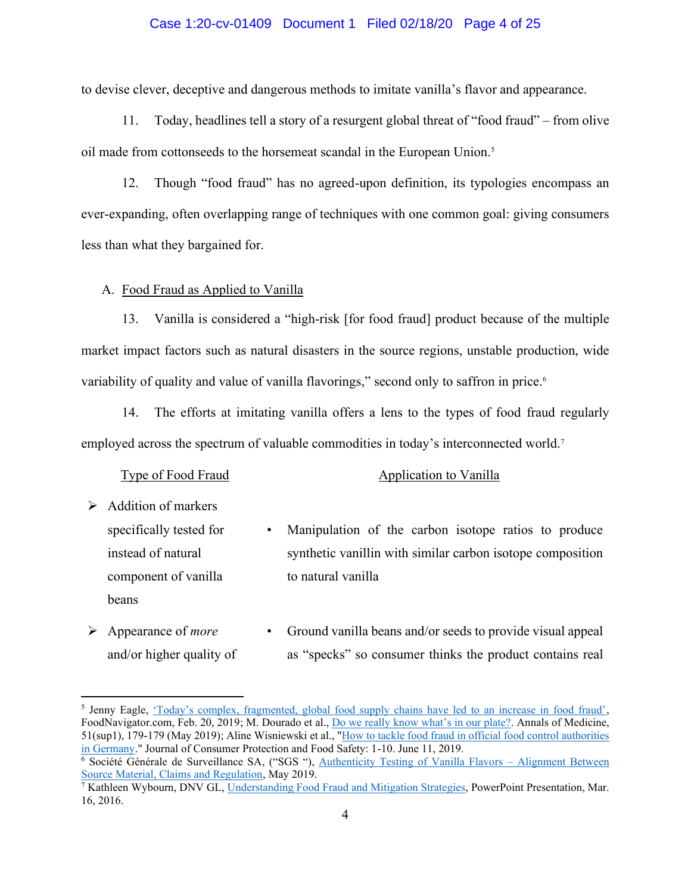## Case 1:20-cv-01409 Document 1 Filed 02/18/20 Page 4 of 25

to devise clever, deceptive and dangerous methods to imitate vanilla's flavor and appearance.

11. Today, headlines tell a story of a resurgent global threat of "food fraud" – from olive oil made from cottonseeds to the horsemeat scandal in the European Union.<sup>5</sup>

12. Though "food fraud" has no agreed-upon definition, its typologies encompass an ever-expanding, often overlapping range of techniques with one common goal: giving consumers less than what they bargained for.

A. Food Fraud as Applied to Vanilla

13. Vanilla is considered a "high-risk [for food fraud] product because of the multiple market impact factors such as natural disasters in the source regions, unstable production, wide variability of quality and value of vanilla flavorings," second only to saffron in price.<sup>6</sup>

14. The efforts at imitating vanilla offers a lens to the types of food fraud regularly employed across the spectrum of valuable commodities in today's interconnected world.<sup>7</sup>

#### Type of Food Fraud Application to Vanilla

- $\triangleright$  Addition of markers specifically tested for instead of natural component of vanilla beans
- Manipulation of the carbon isotope ratios to produce synthetic vanillin with similar carbon isotope composition to natural vanilla
- ➢ Appearance of *more* and/or higher quality of • Ground vanilla beans and/or seeds to provide visual appeal as "specks" so consumer thinks the product contains real

<sup>&</sup>lt;sup>5</sup> Jenny Eagle, ['Today's complex, fragmented, global food supply chains have led to an increase in food fraud'](https://www.foodnavigator.com/Article/2019/02/20/Fragmented-global-supply-chains-have-led-to-an-increase-in-food-fraud), FoodNavigator.com, Feb. 20, 2019; M. Dourado et al., [Do we really know what's in our plate?](https://www.tandfonline.com/doi/abs/10.1080/07853890.2018.1562748). Annals of Medicine, 51(sup1), 179-179 (May 2019); Aline Wisniewski et al., ["How to tackle food fraud in official food control authorities](https://doi.org/10.1007/s00003-019-01228-2)  [in Germany.](https://doi.org/10.1007/s00003-019-01228-2)" Journal of Consumer Protection and Food Safety: 1-10. June 11, 2019.

<sup>&</sup>lt;sup>6</sup> Société Générale de Surveillance SA, ("SGS "), <u>[Authenticity Testing of Vanilla Flavors](https://www.sgs.com/en/events/2019/05/authenticity-testing-of-vanilla-flavors) – Alignment Between</u><br>Source Material, Claims and Regulation, May 2019.

<sup>&</sup>lt;sup>7</sup> Kathleen Wybourn, DNV GL, [Understanding Food Fraud and Mitigation Strategies,](https://www.ifsqn.com/fsf/Understanding%20Food%20Fraud.pdf) PowerPoint Presentation, Mar. 16, 2016.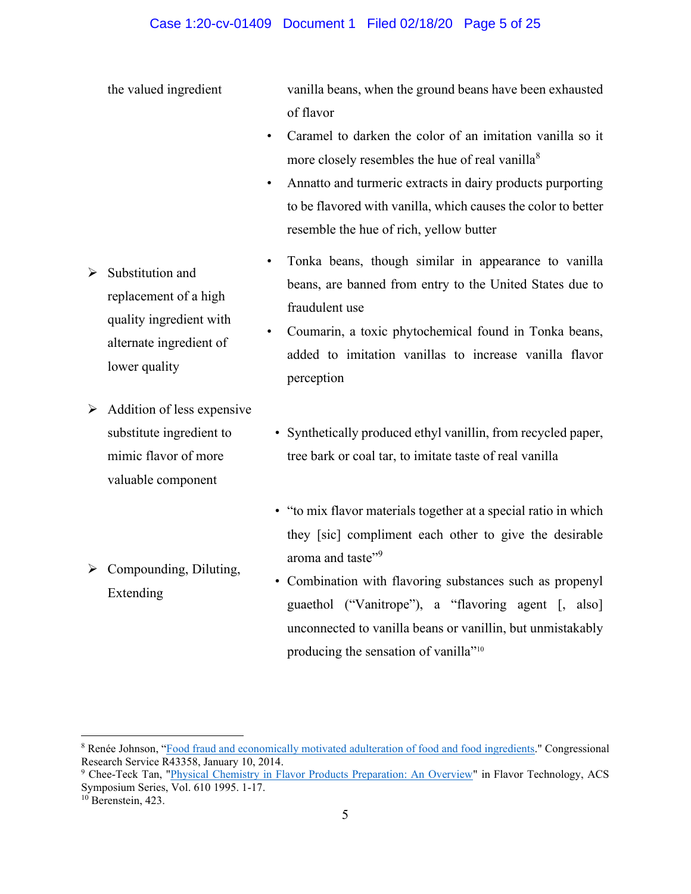## Case 1:20-cv-01409 Document 1 Filed 02/18/20 Page 5 of 25

the valued ingredient vanilla beans, when the ground beans have been exhausted of flavor

- Caramel to darken the color of an imitation vanilla so it more closely resembles the hue of real vanilla $\delta$
- Annatto and turmeric extracts in dairy products purporting to be flavored with vanilla, which causes the color to better resemble the hue of rich, yellow butter
- Tonka beans, though similar in appearance to vanilla beans, are banned from entry to the United States due to fraudulent use
- Coumarin, a toxic phytochemical found in Tonka beans, added to imitation vanillas to increase vanilla flavor perception
- Synthetically produced ethyl vanillin, from recycled paper, tree bark or coal tar, to imitate taste of real vanilla
	- "to mix flavor materials together at a special ratio in which they [sic] compliment each other to give the desirable aroma and taste"<sup>9</sup>
	- Combination with flavoring substances such as propenyl guaethol ("Vanitrope"), a "flavoring agent [, also] unconnected to vanilla beans or vanillin, but unmistakably producing the sensation of vanilla"<sup>10</sup>
- ➢ Substitution and replacement of a high quality ingredient with alternate ingredient of lower quality
- $\triangleright$  Addition of less expensive substitute ingredient to mimic flavor of more valuable component
- $\triangleright$  Compounding, Diluting, Extending

<sup>&</sup>lt;sup>8</sup> Renée Johnson, "[Food fraud and economically motivated adulteration of food and food ingredients.](https://fas.org/sgp/crs/misc/R43358.pdf)" Congressional Research Service R43358, January 10, 2014.

<sup>&</sup>lt;sup>9</sup> Chee-Teck Tan, ["Physical Chemistry in Flavor Products Preparation: An Overview"](https://pubs.acs.org/doi/abs/10.1021/bk-1995-0610.ch001) in Flavor Technology, ACS Symposium Series, Vol. 610 1995. 1-17.

<sup>&</sup>lt;sup>10</sup> Berenstein, 423.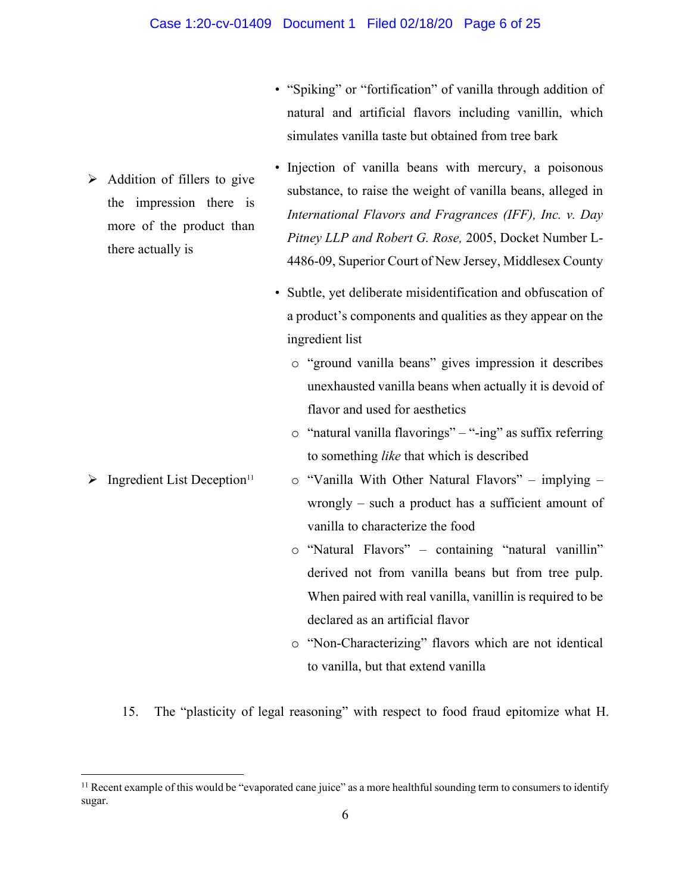- $\triangleright$  Addition of fillers to give the impression there is more of the product than there actually is
- "Spiking" or "fortification" of vanilla through addition of natural and artificial flavors including vanillin, which simulates vanilla taste but obtained from tree bark
- Injection of vanilla beans with mercury, a poisonous substance, to raise the weight of vanilla beans, alleged in *International Flavors and Fragrances (IFF), Inc. v. Day Pitney LLP and Robert G. Rose,* 2005, Docket Number L-4486-09, Superior Court of New Jersey, Middlesex County
- Subtle, yet deliberate misidentification and obfuscation of a product's components and qualities as they appear on the ingredient list
	- o "ground vanilla beans" gives impression it describes unexhausted vanilla beans when actually it is devoid of flavor and used for aesthetics
	- o "natural vanilla flavorings" "-ing" as suffix referring to something *like* that which is described
- $\triangleright$  Ingredient List Deception<sup>11</sup> o "Vanilla With Other Natural Flavors" – implying – wrongly – such a product has a sufficient amount of vanilla to characterize the food
	- o "Natural Flavors" containing "natural vanillin" derived not from vanilla beans but from tree pulp. When paired with real vanilla, vanillin is required to be declared as an artificial flavor
	- o "Non-Characterizing" flavors which are not identical to vanilla, but that extend vanilla
	- 15. The "plasticity of legal reasoning" with respect to food fraud epitomize what H.

 $<sup>11</sup>$  Recent example of this would be "evaporated cane juice" as a more healthful sounding term to consumers to identify</sup> sugar.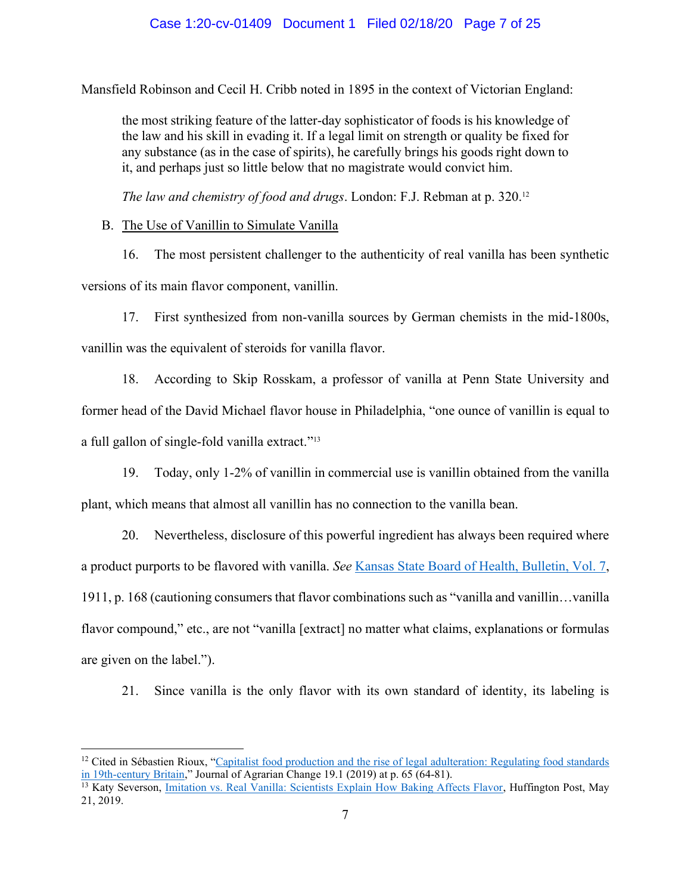Mansfield Robinson and Cecil H. Cribb noted in 1895 in the context of Victorian England:

the most striking feature of the latter‐day sophisticator of foods is his knowledge of the law and his skill in evading it. If a legal limit on strength or quality be fixed for any substance (as in the case of spirits), he carefully brings his goods right down to it, and perhaps just so little below that no magistrate would convict him.

*The law and chemistry of food and drugs*. London: F.J. Rebman at p. 320.12

B. The Use of Vanillin to Simulate Vanilla

16. The most persistent challenger to the authenticity of real vanilla has been synthetic versions of its main flavor component, vanillin.

17. First synthesized from non-vanilla sources by German chemists in the mid-1800s, vanillin was the equivalent of steroids for vanilla flavor.

18. According to Skip Rosskam, a professor of vanilla at Penn State University and former head of the David Michael flavor house in Philadelphia, "one ounce of vanillin is equal to a full gallon of single-fold vanilla extract."<sup>13</sup>

19. Today, only 1-2% of vanillin in commercial use is vanillin obtained from the vanilla plant, which means that almost all vanillin has no connection to the vanilla bean.

20. Nevertheless, disclosure of this powerful ingredient has always been required where a product purports to be flavored with vanilla. *See* [Kansas State Board of Health, Bulletin, Vol. 7,](https://books.google.com/books?id=jzBKAQAAMAAJ&pg=PA168&dq=vanilla+compounded&hl=en&sa=X&ved=2ahUKEwidzd2_9vzkAhUlhuAKHb0VCzAQ6AEwAXoECAUQAg#v=onepage&q=vanilla%20compounded&f=false) 1911, p. 168 (cautioning consumers that flavor combinations such as "vanilla and vanillin…vanilla flavor compound," etc., are not "vanilla [extract] no matter what claims, explanations or formulas are given on the label.").

21. Since vanilla is the only flavor with its own standard of identity, its labeling is

 $12$  Cited in Sébastien Rioux, "Capitalist food production and the rise of legal adulteration: Regulating food standards [in 19th‐century Britain,](https://s3.amazonaws.com/academia.edu.documents/56477290/Rioux_2018_Capitalist_food_production_and_the_rise_of_legal_adulteration.pdf?response-content-disposition=inline%3B%20filename%3DCapitalist_food_production_and_the_rise.pdf&X-Amz-Algorithm=AWS4-HMAC-SHA256&X-Amz-Credential=AKIAIWOWYYGZ2Y53UL3A%2F20200127%2Fus-east-1%2Fs3%2Faws4_request&X-Amz-Date=20200127T041337Z&X-Amz-Expires=3600&X-Amz-SignedHeaders=host&X-Amz-Signature=b814986f3dd290431e3744fd68027645c7d9db194b55c537e5ab1d974c2b573c)" Journal of Agrarian Change 19.1 (2019) at p. 65 (64-81).

<sup>&</sup>lt;sup>13</sup> Katy Severson, *Imitation vs. Real Vanilla: Scientists Explain How Baking Affects Flavor*, Huffington Post, May 21, 2019.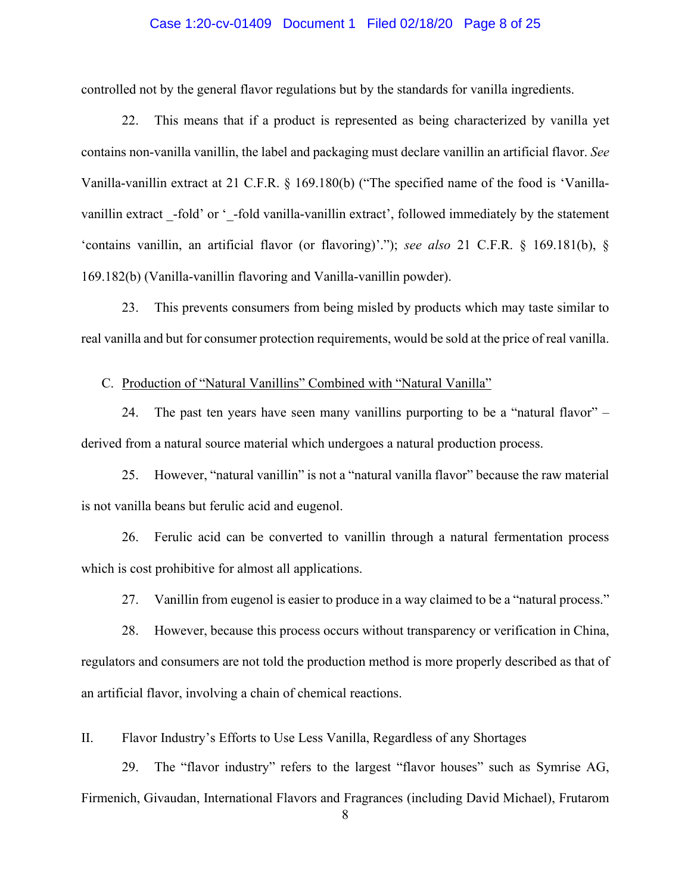## Case 1:20-cv-01409 Document 1 Filed 02/18/20 Page 8 of 25

controlled not by the general flavor regulations but by the standards for vanilla ingredients.

22. This means that if a product is represented as being characterized by vanilla yet contains non-vanilla vanillin, the label and packaging must declare vanillin an artificial flavor. *See*  Vanilla-vanillin extract at 21 C.F.R. § 169.180(b) ("The specified name of the food is 'Vanillavanillin extract -fold' or '-fold vanilla-vanillin extract', followed immediately by the statement 'contains vanillin, an artificial flavor (or flavoring)'."); *see also* 21 C.F.R. § 169.181(b), § 169.182(b) (Vanilla-vanillin flavoring and Vanilla-vanillin powder).

23. This prevents consumers from being misled by products which may taste similar to real vanilla and but for consumer protection requirements, would be sold at the price of real vanilla.

C. Production of "Natural Vanillins" Combined with "Natural Vanilla"

24. The past ten years have seen many vanillins purporting to be a "natural flavor" – derived from a natural source material which undergoes a natural production process.

25. However, "natural vanillin" is not a "natural vanilla flavor" because the raw material is not vanilla beans but ferulic acid and eugenol.

26. Ferulic acid can be converted to vanillin through a natural fermentation process which is cost prohibitive for almost all applications.

27. Vanillin from eugenol is easier to produce in a way claimed to be a "natural process."

28. However, because this process occurs without transparency or verification in China, regulators and consumers are not told the production method is more properly described as that of an artificial flavor, involving a chain of chemical reactions.

II. Flavor Industry's Efforts to Use Less Vanilla, Regardless of any Shortages

29. The "flavor industry" refers to the largest "flavor houses" such as Symrise AG, Firmenich, Givaudan, International Flavors and Fragrances (including David Michael), Frutarom

8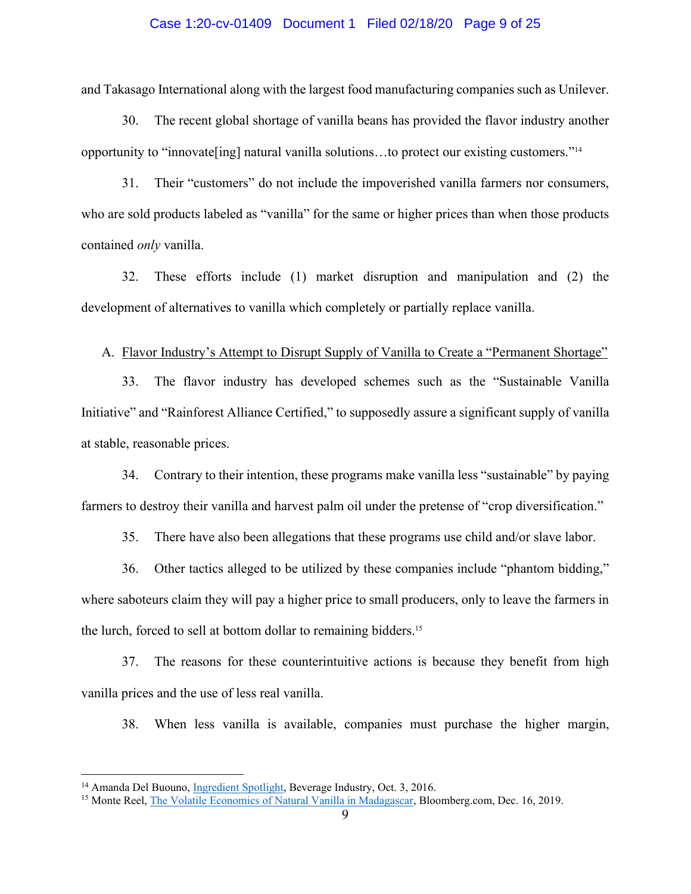## Case 1:20-cv-01409 Document 1 Filed 02/18/20 Page 9 of 25

and Takasago International along with the largest food manufacturing companies such as Unilever.

30. The recent global shortage of vanilla beans has provided the flavor industry another opportunity to "innovate[ing] natural vanilla solutions…to protect our existing customers."<sup>14</sup>

31. Their "customers" do not include the impoverished vanilla farmers nor consumers, who are sold products labeled as "vanilla" for the same or higher prices than when those products contained *only* vanilla.

32. These efforts include (1) market disruption and manipulation and (2) the development of alternatives to vanilla which completely or partially replace vanilla.

A. Flavor Industry's Attempt to Disrupt Supply of Vanilla to Create a "Permanent Shortage"

33. The flavor industry has developed schemes such as the "Sustainable Vanilla Initiative" and "Rainforest Alliance Certified," to supposedly assure a significant supply of vanilla at stable, reasonable prices.

34. Contrary to their intention, these programs make vanilla less "sustainable" by paying farmers to destroy their vanilla and harvest palm oil under the pretense of "crop diversification."

35. There have also been allegations that these programs use child and/or slave labor.

36. Other tactics alleged to be utilized by these companies include "phantom bidding," where saboteurs claim they will pay a higher price to small producers, only to leave the farmers in the lurch, forced to sell at bottom dollar to remaining bidders.15

37. The reasons for these counterintuitive actions is because they benefit from high vanilla prices and the use of less real vanilla.

38. When less vanilla is available, companies must purchase the higher margin,

<sup>&</sup>lt;sup>14</sup> Amanda Del Buouno, *Ingredient Spotlight*, Beverage Industry, Oct. 3, 2016.

<sup>15</sup> Monte Reel, [The Volatile Economics of Natural Vanilla in Madagascar,](https://www.bloomberg.com/features/2019-economics-of-vanilla-markets-madagascar/) Bloomberg.com, Dec. 16, 2019.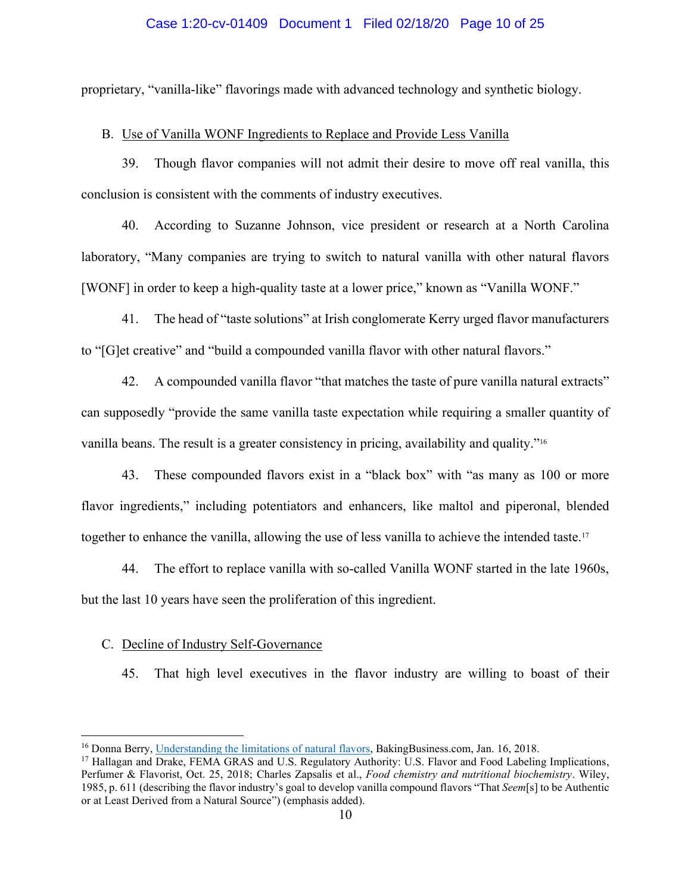## Case 1:20-cv-01409 Document 1 Filed 02/18/20 Page 10 of 25

proprietary, "vanilla-like" flavorings made with advanced technology and synthetic biology.

## B. Use of Vanilla WONF Ingredients to Replace and Provide Less Vanilla

39. Though flavor companies will not admit their desire to move off real vanilla, this conclusion is consistent with the comments of industry executives.

40. According to Suzanne Johnson, vice president or research at a North Carolina laboratory, "Many companies are trying to switch to natural vanilla with other natural flavors [WONF] in order to keep a high-quality taste at a lower price," known as "Vanilla WONF."

41. The head of "taste solutions" at Irish conglomerate Kerry urged flavor manufacturers to "[G]et creative" and "build a compounded vanilla flavor with other natural flavors."

42. A compounded vanilla flavor "that matches the taste of pure vanilla natural extracts" can supposedly "provide the same vanilla taste expectation while requiring a smaller quantity of vanilla beans. The result is a greater consistency in pricing, availability and quality."<sup>16</sup>

43. These compounded flavors exist in a "black box" with "as many as 100 or more flavor ingredients," including potentiators and enhancers, like maltol and piperonal, blended together to enhance the vanilla, allowing the use of less vanilla to achieve the intended taste.17

44. The effort to replace vanilla with so-called Vanilla WONF started in the late 1960s, but the last 10 years have seen the proliferation of this ingredient.

#### C. Decline of Industry Self-Governance

45. That high level executives in the flavor industry are willing to boast of their

<sup>&</sup>lt;sup>16</sup> Donna Berry, [Understanding the limitations of natural flavors,](https://www.bakingbusiness.com/articles/45497-understanding-the-limitations-of-natural-flavors) BakingBusiness.com, Jan. 16, 2018.

<sup>17</sup> Hallagan and Drake, FEMA GRAS and U.S. Regulatory Authority: U.S. Flavor and Food Labeling Implications, Perfumer & Flavorist, Oct. 25, 2018; Charles Zapsalis et al., *Food chemistry and nutritional biochemistry*. Wiley, 1985, p. 611 (describing the flavor industry's goal to develop vanilla compound flavors "That *Seem*[s] to be Authentic or at Least Derived from a Natural Source") (emphasis added).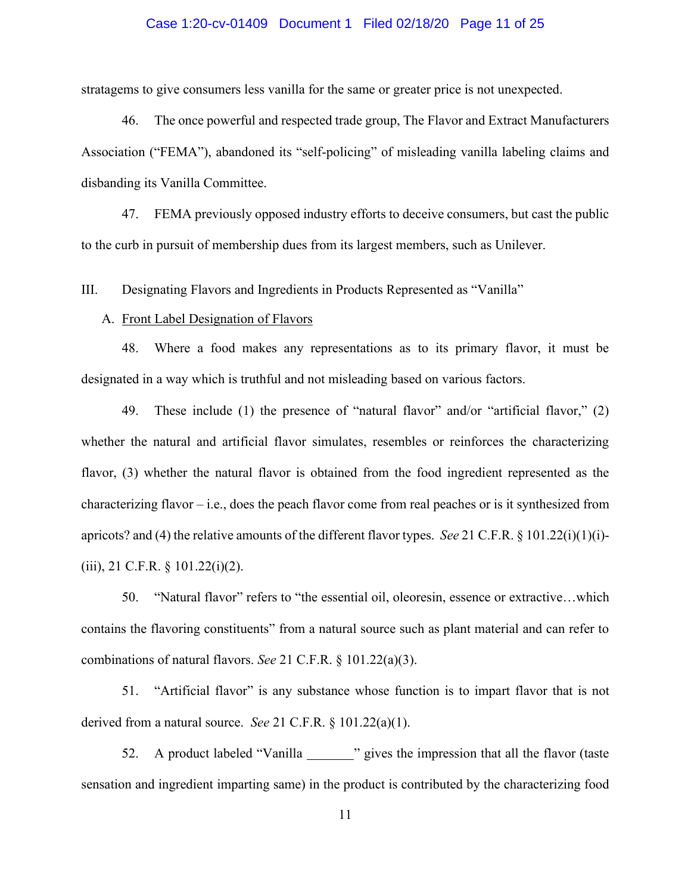## Case 1:20-cv-01409 Document 1 Filed 02/18/20 Page 11 of 25

stratagems to give consumers less vanilla for the same or greater price is not unexpected.

46. The once powerful and respected trade group, The Flavor and Extract Manufacturers Association ("FEMA"), abandoned its "self-policing" of misleading vanilla labeling claims and disbanding its Vanilla Committee.

47. FEMA previously opposed industry efforts to deceive consumers, but cast the public to the curb in pursuit of membership dues from its largest members, such as Unilever.

III. Designating Flavors and Ingredients in Products Represented as "Vanilla"

## A. Front Label Designation of Flavors

48. Where a food makes any representations as to its primary flavor, it must be designated in a way which is truthful and not misleading based on various factors.

49. These include (1) the presence of "natural flavor" and/or "artificial flavor," (2) whether the natural and artificial flavor simulates, resembles or reinforces the characterizing flavor, (3) whether the natural flavor is obtained from the food ingredient represented as the characterizing flavor – i.e., does the peach flavor come from real peaches or is it synthesized from apricots? and (4) the relative amounts of the different flavor types. *See* 21 C.F.R. § 101.22(i)(1)(i)-  $(iii)$ , 21 C.F.R. § 101.22 $(i)(2)$ .

50. "Natural flavor" refers to "the essential oil, oleoresin, essence or extractive…which contains the flavoring constituents" from a natural source such as plant material and can refer to combinations of natural flavors. *See* 21 C.F.R. § 101.22(a)(3).

51. "Artificial flavor" is any substance whose function is to impart flavor that is not derived from a natural source. *See* 21 C.F.R. § 101.22(a)(1).

52. A product labeled "Vanilla " " gives the impression that all the flavor (taste sensation and ingredient imparting same) in the product is contributed by the characterizing food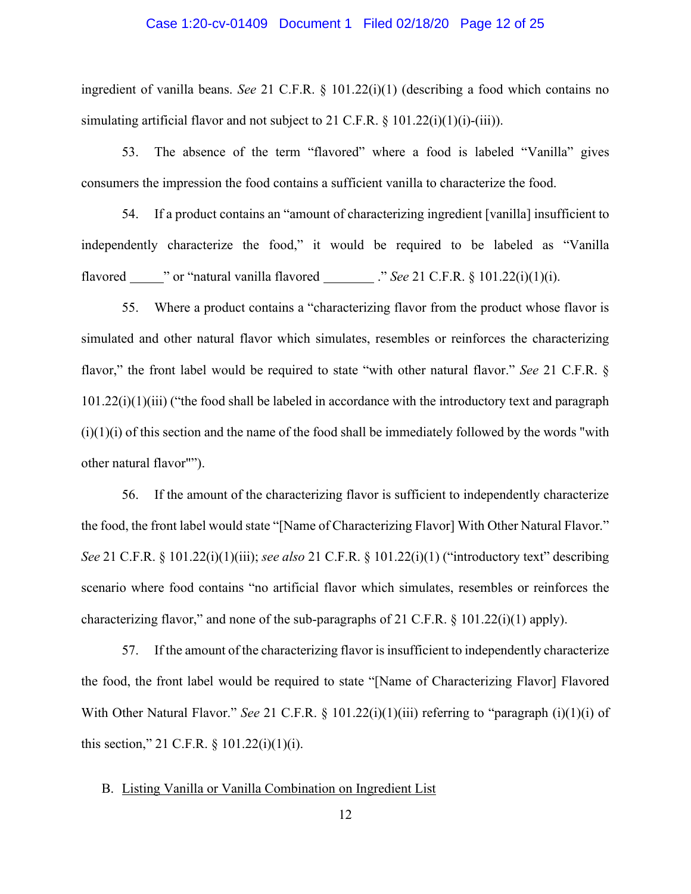## Case 1:20-cv-01409 Document 1 Filed 02/18/20 Page 12 of 25

ingredient of vanilla beans. *See* 21 C.F.R. § 101.22(i)(1) (describing a food which contains no simulating artificial flavor and not subject to 21 C.F.R.  $\S$  101.22(i)(1)(i)-(iii)).

53. The absence of the term "flavored" where a food is labeled "Vanilla" gives consumers the impression the food contains a sufficient vanilla to characterize the food.

54. If a product contains an "amount of characterizing ingredient [vanilla] insufficient to independently characterize the food," it would be required to be labeled as "Vanilla flavored  $\blacksquare$  " or "natural vanilla flavored  $\blacksquare$  ." *See* 21 C.F.R. § 101.22(i)(1)(i).

55. Where a product contains a "characterizing flavor from the product whose flavor is simulated and other natural flavor which simulates, resembles or reinforces the characterizing flavor," the front label would be required to state "with other natural flavor." *See* 21 C.F.R. § 101.22(i)(1)(iii) ("the food shall be labeled in accordance with the introductory text and paragraph  $(i)(1)(i)$  of this section and the name of the food shall be immediately followed by the words "with" other natural flavor"").

56. If the amount of the characterizing flavor is sufficient to independently characterize the food, the front label would state "[Name of Characterizing Flavor] With Other Natural Flavor." *See* 21 C.F.R. § 101.22(i)(1)(iii); *see also* 21 C.F.R. § 101.22(i)(1) ("introductory text" describing scenario where food contains "no artificial flavor which simulates, resembles or reinforces the characterizing flavor," and none of the sub-paragraphs of 21 C.F.R.  $\S$  101.22(i)(1) apply).

57. If the amount of the characterizing flavor is insufficient to independently characterize the food, the front label would be required to state "[Name of Characterizing Flavor] Flavored With Other Natural Flavor." *See* 21 C.F.R. § 101.22(i)(1)(iii) referring to "paragraph (i)(1)(i) of this section," 21 C.F.R.  $\S$  101.22(i)(1)(i).

# B. Listing Vanilla or Vanilla Combination on Ingredient List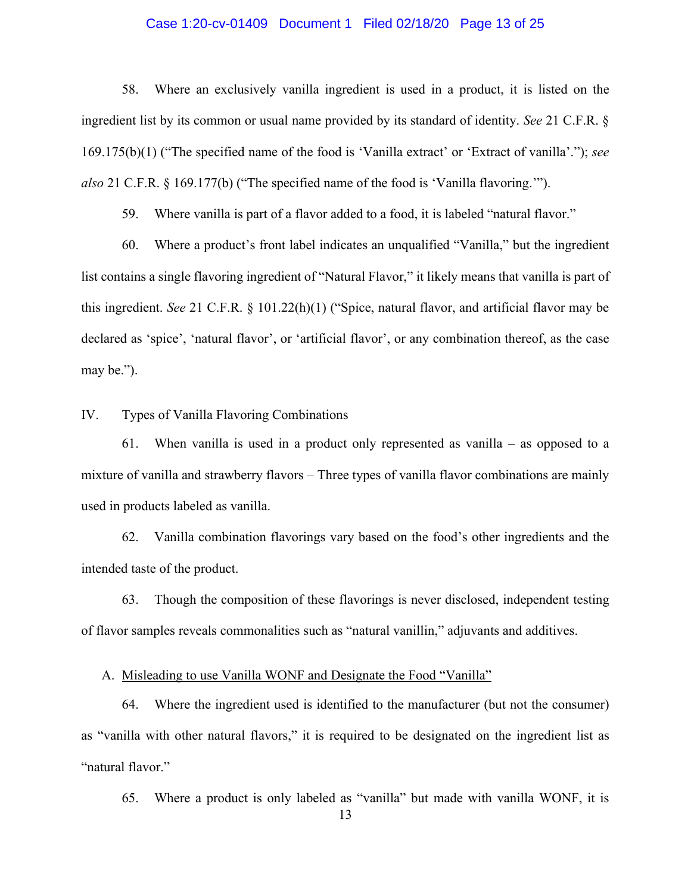## Case 1:20-cv-01409 Document 1 Filed 02/18/20 Page 13 of 25

58. Where an exclusively vanilla ingredient is used in a product, it is listed on the ingredient list by its common or usual name provided by its standard of identity. *See* 21 C.F.R. § 169.175(b)(1) ("The specified name of the food is 'Vanilla extract' or 'Extract of vanilla'."); *see also* 21 C.F.R. § 169.177(b) ("The specified name of the food is 'Vanilla flavoring.'").

59. Where vanilla is part of a flavor added to a food, it is labeled "natural flavor."

60. Where a product's front label indicates an unqualified "Vanilla," but the ingredient list contains a single flavoring ingredient of "Natural Flavor," it likely means that vanilla is part of this ingredient. *See* 21 C.F.R. § 101.22(h)(1) ("Spice, natural flavor, and artificial flavor may be declared as 'spice', 'natural flavor', or 'artificial flavor', or any combination thereof, as the case may be.").

IV. Types of Vanilla Flavoring Combinations

61. When vanilla is used in a product only represented as vanilla – as opposed to a mixture of vanilla and strawberry flavors – Three types of vanilla flavor combinations are mainly used in products labeled as vanilla.

62. Vanilla combination flavorings vary based on the food's other ingredients and the intended taste of the product.

63. Though the composition of these flavorings is never disclosed, independent testing of flavor samples reveals commonalities such as "natural vanillin," adjuvants and additives.

A. Misleading to use Vanilla WONF and Designate the Food "Vanilla"

64. Where the ingredient used is identified to the manufacturer (but not the consumer) as "vanilla with other natural flavors," it is required to be designated on the ingredient list as "natural flavor."

65. Where a product is only labeled as "vanilla" but made with vanilla WONF, it is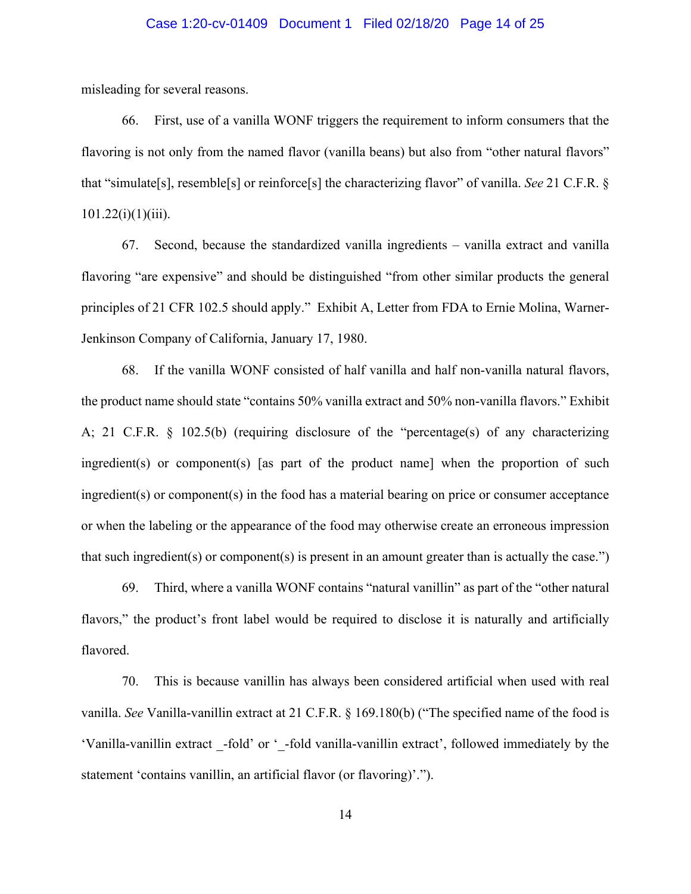## Case 1:20-cv-01409 Document 1 Filed 02/18/20 Page 14 of 25

misleading for several reasons.

66. First, use of a vanilla WONF triggers the requirement to inform consumers that the flavoring is not only from the named flavor (vanilla beans) but also from "other natural flavors" that "simulate[s], resemble[s] or reinforce[s] the characterizing flavor" of vanilla. *See* 21 C.F.R. §  $101.22(i)(1)(iii)$ .

67. Second, because the standardized vanilla ingredients – vanilla extract and vanilla flavoring "are expensive" and should be distinguished "from other similar products the general principles of 21 CFR 102.5 should apply." Exhibit A, Letter from FDA to Ernie Molina, Warner-Jenkinson Company of California, January 17, 1980.

68. If the vanilla WONF consisted of half vanilla and half non-vanilla natural flavors, the product name should state "contains 50% vanilla extract and 50% non-vanilla flavors." Exhibit A; 21 C.F.R. § 102.5(b) (requiring disclosure of the "percentage(s) of any characterizing ingredient(s) or component(s) [as part of the product name] when the proportion of such ingredient(s) or component(s) in the food has a material bearing on price or consumer acceptance or when the labeling or the appearance of the food may otherwise create an erroneous impression that such ingredient(s) or component(s) is present in an amount greater than is actually the case.")

69. Third, where a vanilla WONF contains "natural vanillin" as part of the "other natural flavors," the product's front label would be required to disclose it is naturally and artificially flavored.

70. This is because vanillin has always been considered artificial when used with real vanilla. *See* Vanilla-vanillin extract at 21 C.F.R. § 169.180(b) ("The specified name of the food is 'Vanilla-vanillin extract -fold' or '-fold vanilla-vanillin extract', followed immediately by the statement 'contains vanillin, an artificial flavor (or flavoring)'.").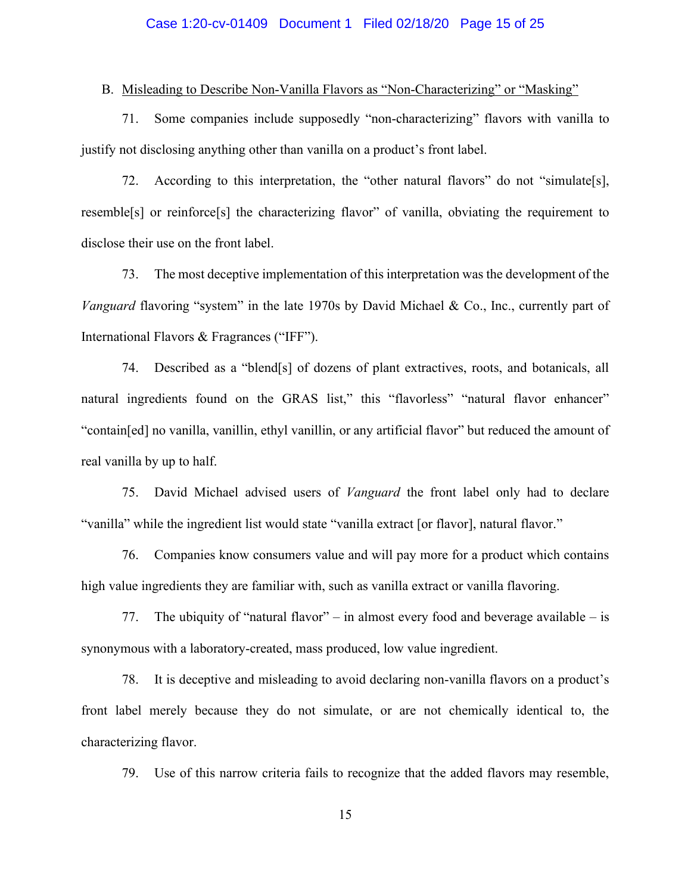## Case 1:20-cv-01409 Document 1 Filed 02/18/20 Page 15 of 25

## B. Misleading to Describe Non-Vanilla Flavors as "Non-Characterizing" or "Masking"

71. Some companies include supposedly "non-characterizing" flavors with vanilla to justify not disclosing anything other than vanilla on a product's front label.

72. According to this interpretation, the "other natural flavors" do not "simulate[s], resemble<sup>[s]</sup> or reinforce<sup>[s]</sup> the characterizing flavor" of vanilla, obviating the requirement to disclose their use on the front label.

73. The most deceptive implementation of this interpretation was the development of the *Vanguard* flavoring "system" in the late 1970s by David Michael & Co., Inc., currently part of International Flavors & Fragrances ("IFF").

74. Described as a "blend[s] of dozens of plant extractives, roots, and botanicals, all natural ingredients found on the GRAS list," this "flavorless" "natural flavor enhancer" "contain[ed] no vanilla, vanillin, ethyl vanillin, or any artificial flavor" but reduced the amount of real vanilla by up to half.

75. David Michael advised users of *Vanguard* the front label only had to declare "vanilla" while the ingredient list would state "vanilla extract [or flavor], natural flavor."

76. Companies know consumers value and will pay more for a product which contains high value ingredients they are familiar with, such as vanilla extract or vanilla flavoring.

77. The ubiquity of "natural flavor" – in almost every food and beverage available – is synonymous with a laboratory-created, mass produced, low value ingredient.

78. It is deceptive and misleading to avoid declaring non-vanilla flavors on a product's front label merely because they do not simulate, or are not chemically identical to, the characterizing flavor.

79. Use of this narrow criteria fails to recognize that the added flavors may resemble,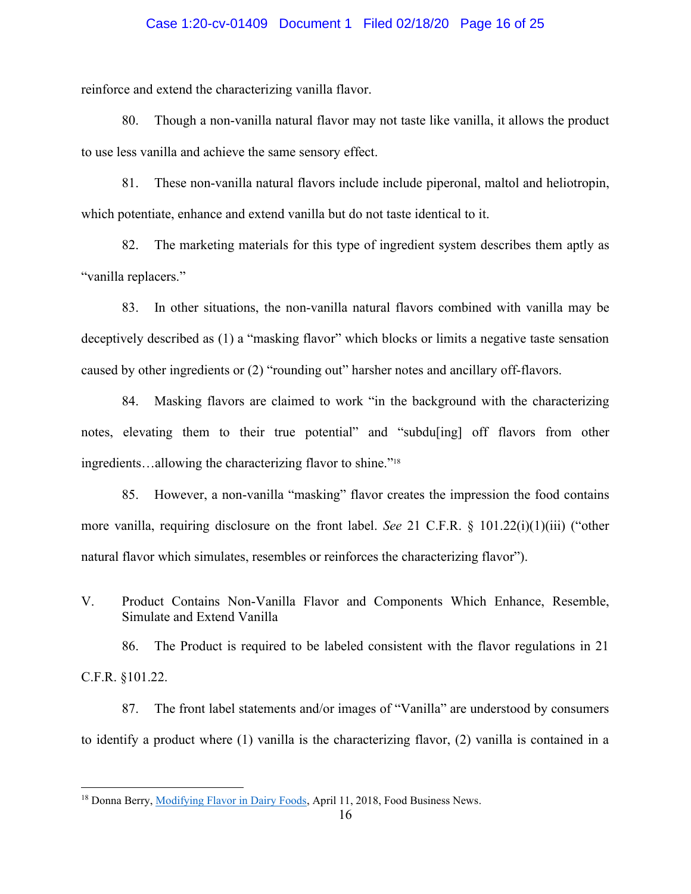## Case 1:20-cv-01409 Document 1 Filed 02/18/20 Page 16 of 25

reinforce and extend the characterizing vanilla flavor.

80. Though a non-vanilla natural flavor may not taste like vanilla, it allows the product to use less vanilla and achieve the same sensory effect.

81. These non-vanilla natural flavors include include piperonal, maltol and heliotropin, which potentiate, enhance and extend vanilla but do not taste identical to it.

82. The marketing materials for this type of ingredient system describes them aptly as "vanilla replacers."

83. In other situations, the non-vanilla natural flavors combined with vanilla may be deceptively described as (1) a "masking flavor" which blocks or limits a negative taste sensation caused by other ingredients or (2) "rounding out" harsher notes and ancillary off-flavors.

84. Masking flavors are claimed to work "in the background with the characterizing notes, elevating them to their true potential" and "subdu[ing] off flavors from other ingredients…allowing the characterizing flavor to shine."<sup>18</sup>

85. However, a non-vanilla "masking" flavor creates the impression the food contains more vanilla, requiring disclosure on the front label. *See* 21 C.F.R. § 101.22(i)(1)(iii) ("other natural flavor which simulates, resembles or reinforces the characterizing flavor").

V. Product Contains Non-Vanilla Flavor and Components Which Enhance, Resemble, Simulate and Extend Vanilla

86. The Product is required to be labeled consistent with the flavor regulations in 21 C.F.R. §101.22.

87. The front label statements and/or images of "Vanilla" are understood by consumers to identify a product where (1) vanilla is the characterizing flavor, (2) vanilla is contained in a

<sup>&</sup>lt;sup>18</sup> Donna Berry, *Modifying Flavor in Dairy Foods*, April 11, 2018, Food Business News.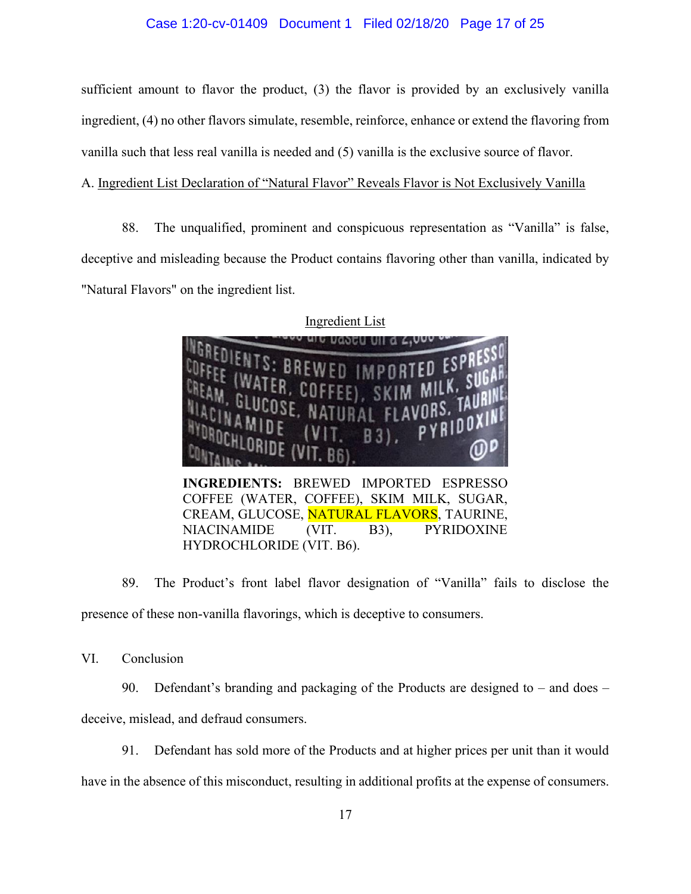## Case 1:20-cv-01409 Document 1 Filed 02/18/20 Page 17 of 25

sufficient amount to flavor the product, (3) the flavor is provided by an exclusively vanilla ingredient, (4) no other flavors simulate, resemble, reinforce, enhance or extend the flavoring from vanilla such that less real vanilla is needed and (5) vanilla is the exclusive source of flavor.

# A. Ingredient List Declaration of "Natural Flavor" Reveals Flavor is Not Exclusively Vanilla

88. The unqualified, prominent and conspicuous representation as "Vanilla" is false, deceptive and misleading because the Product contains flavoring other than vanilla, indicated by "Natural Flavors" on the ingredient list.



COFFEE (WATER, COFFEE), SKIM MILK, SUGAR, CREAM, GLUCOSE, NATURAL FLAVORS, TAURINE, NIACINAMIDE (VIT. B3), PYRIDOXINE HYDROCHLORIDE (VIT. B6).

89. The Product's front label flavor designation of "Vanilla" fails to disclose the presence of these non-vanilla flavorings, which is deceptive to consumers.

VI. Conclusion

90. Defendant's branding and packaging of the Products are designed to – and does –

deceive, mislead, and defraud consumers.

91. Defendant has sold more of the Products and at higher prices per unit than it would

have in the absence of this misconduct, resulting in additional profits at the expense of consumers.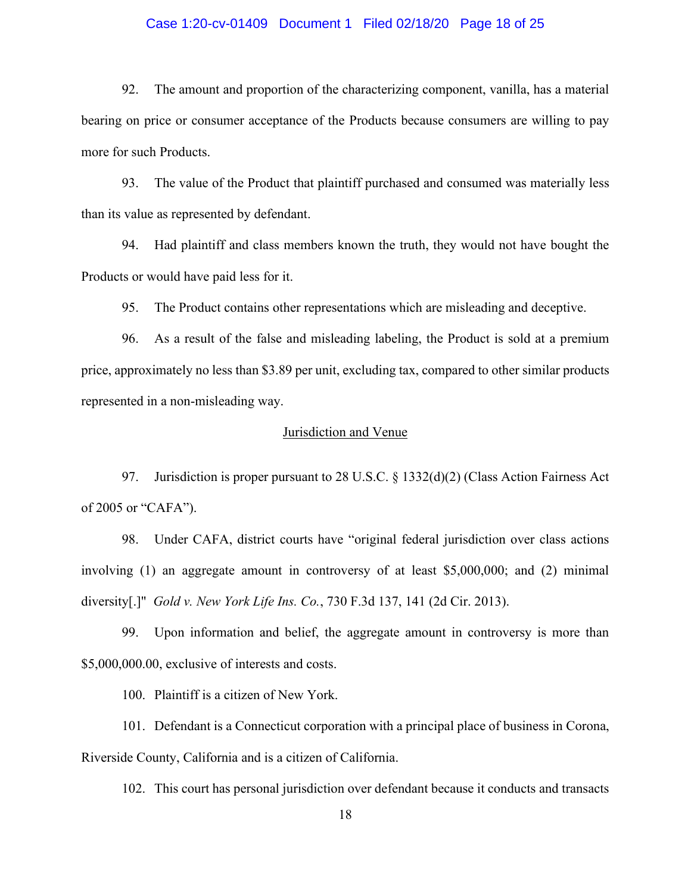## Case 1:20-cv-01409 Document 1 Filed 02/18/20 Page 18 of 25

92. The amount and proportion of the characterizing component, vanilla, has a material bearing on price or consumer acceptance of the Products because consumers are willing to pay more for such Products.

93. The value of the Product that plaintiff purchased and consumed was materially less than its value as represented by defendant.

94. Had plaintiff and class members known the truth, they would not have bought the Products or would have paid less for it.

95. The Product contains other representations which are misleading and deceptive.

96. As a result of the false and misleading labeling, the Product is sold at a premium price, approximately no less than \$3.89 per unit, excluding tax, compared to other similar products represented in a non-misleading way.

## Jurisdiction and Venue

97. Jurisdiction is proper pursuant to 28 U.S.C. § 1332(d)(2) (Class Action Fairness Act of 2005 or "CAFA").

98. Under CAFA, district courts have "original federal jurisdiction over class actions involving (1) an aggregate amount in controversy of at least \$5,000,000; and (2) minimal diversity[.]" *Gold v. New York Life Ins. Co.*, 730 F.3d 137, 141 (2d Cir. 2013).

99. Upon information and belief, the aggregate amount in controversy is more than \$5,000,000.00, exclusive of interests and costs.

100. Plaintiff is a citizen of New York.

101. Defendant is a Connecticut corporation with a principal place of business in Corona, Riverside County, California and is a citizen of California.

102. This court has personal jurisdiction over defendant because it conducts and transacts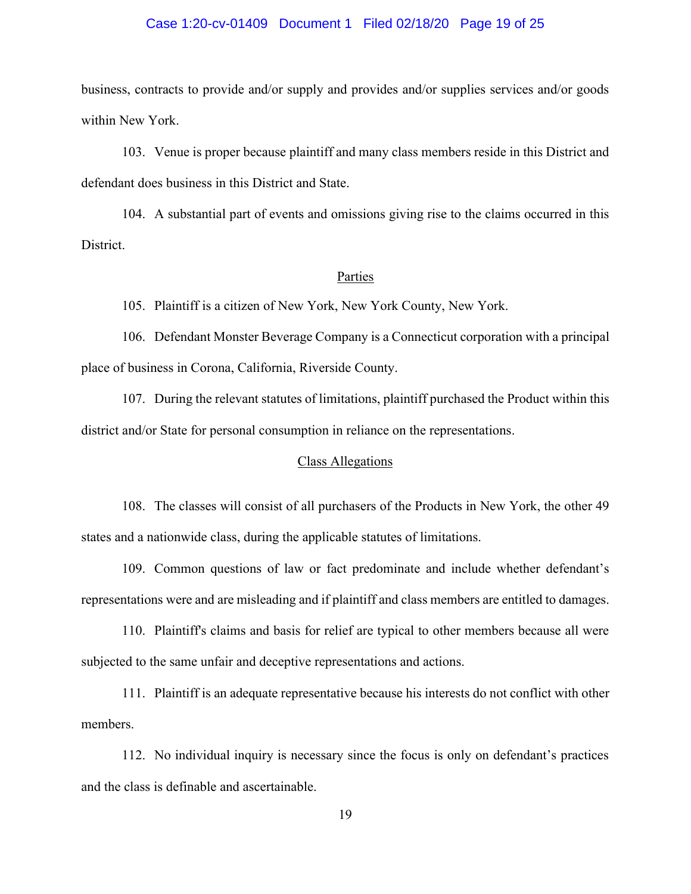## Case 1:20-cv-01409 Document 1 Filed 02/18/20 Page 19 of 25

business, contracts to provide and/or supply and provides and/or supplies services and/or goods within New York.

103. Venue is proper because plaintiff and many class members reside in this District and defendant does business in this District and State.

104. A substantial part of events and omissions giving rise to the claims occurred in this District.

#### Parties

105. Plaintiff is a citizen of New York, New York County, New York.

106. Defendant Monster Beverage Company is a Connecticut corporation with a principal place of business in Corona, California, Riverside County.

107. During the relevant statutes of limitations, plaintiff purchased the Product within this district and/or State for personal consumption in reliance on the representations.

# Class Allegations

108. The classes will consist of all purchasers of the Products in New York, the other 49 states and a nationwide class, during the applicable statutes of limitations.

109. Common questions of law or fact predominate and include whether defendant's representations were and are misleading and if plaintiff and class members are entitled to damages.

110. Plaintiff's claims and basis for relief are typical to other members because all were subjected to the same unfair and deceptive representations and actions.

111. Plaintiff is an adequate representative because his interests do not conflict with other members.

112. No individual inquiry is necessary since the focus is only on defendant's practices and the class is definable and ascertainable.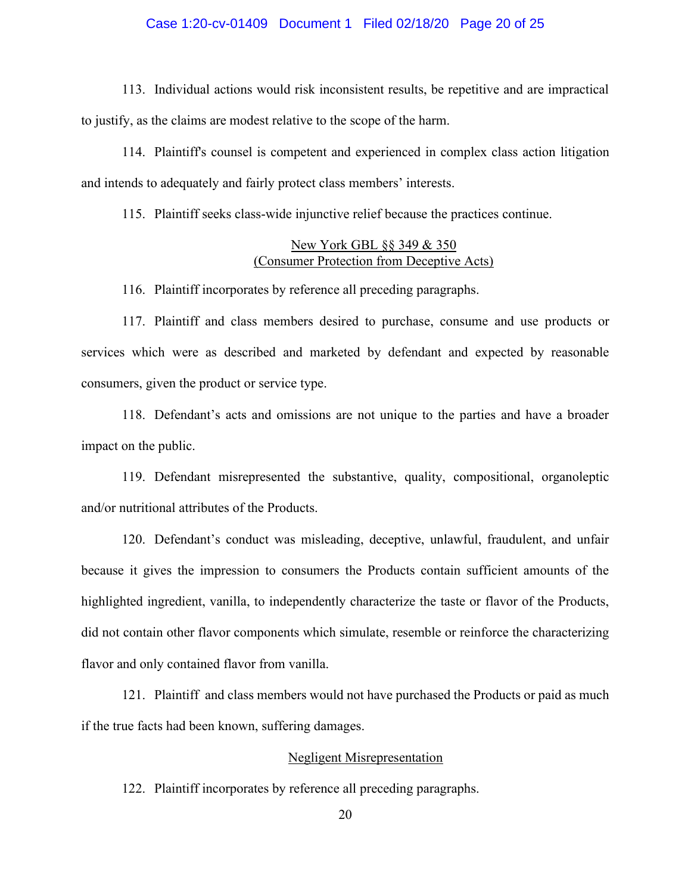## Case 1:20-cv-01409 Document 1 Filed 02/18/20 Page 20 of 25

113. Individual actions would risk inconsistent results, be repetitive and are impractical to justify, as the claims are modest relative to the scope of the harm.

114. Plaintiff's counsel is competent and experienced in complex class action litigation and intends to adequately and fairly protect class members' interests.

115. Plaintiff seeks class-wide injunctive relief because the practices continue.

# New York GBL §§ 349 & 350 (Consumer Protection from Deceptive Acts)

116. Plaintiff incorporates by reference all preceding paragraphs.

117. Plaintiff and class members desired to purchase, consume and use products or services which were as described and marketed by defendant and expected by reasonable consumers, given the product or service type.

118. Defendant's acts and omissions are not unique to the parties and have a broader impact on the public.

119. Defendant misrepresented the substantive, quality, compositional, organoleptic and/or nutritional attributes of the Products.

120. Defendant's conduct was misleading, deceptive, unlawful, fraudulent, and unfair because it gives the impression to consumers the Products contain sufficient amounts of the highlighted ingredient, vanilla, to independently characterize the taste or flavor of the Products, did not contain other flavor components which simulate, resemble or reinforce the characterizing flavor and only contained flavor from vanilla.

121. Plaintiff and class members would not have purchased the Products or paid as much if the true facts had been known, suffering damages.

## Negligent Misrepresentation

122. Plaintiff incorporates by reference all preceding paragraphs.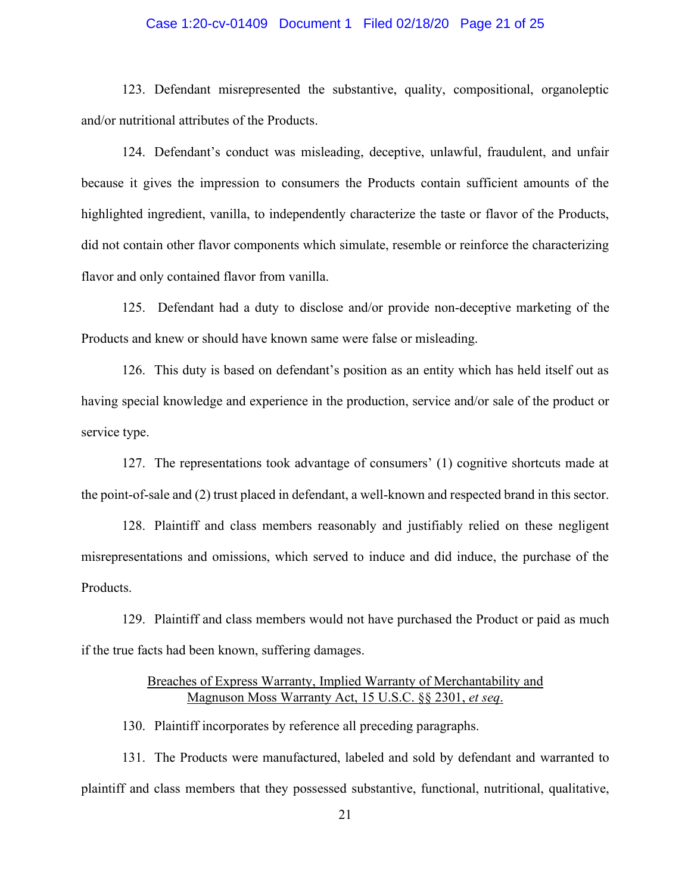## Case 1:20-cv-01409 Document 1 Filed 02/18/20 Page 21 of 25

123. Defendant misrepresented the substantive, quality, compositional, organoleptic and/or nutritional attributes of the Products.

124. Defendant's conduct was misleading, deceptive, unlawful, fraudulent, and unfair because it gives the impression to consumers the Products contain sufficient amounts of the highlighted ingredient, vanilla, to independently characterize the taste or flavor of the Products, did not contain other flavor components which simulate, resemble or reinforce the characterizing flavor and only contained flavor from vanilla.

125. Defendant had a duty to disclose and/or provide non-deceptive marketing of the Products and knew or should have known same were false or misleading.

126. This duty is based on defendant's position as an entity which has held itself out as having special knowledge and experience in the production, service and/or sale of the product or service type.

127. The representations took advantage of consumers' (1) cognitive shortcuts made at the point-of-sale and (2) trust placed in defendant, a well-known and respected brand in this sector.

128. Plaintiff and class members reasonably and justifiably relied on these negligent misrepresentations and omissions, which served to induce and did induce, the purchase of the Products.

129. Plaintiff and class members would not have purchased the Product or paid as much if the true facts had been known, suffering damages.

# Breaches of Express Warranty, Implied Warranty of Merchantability and Magnuson Moss Warranty Act, 15 U.S.C. §§ 2301, *et seq*.

130. Plaintiff incorporates by reference all preceding paragraphs.

131. The Products were manufactured, labeled and sold by defendant and warranted to plaintiff and class members that they possessed substantive, functional, nutritional, qualitative,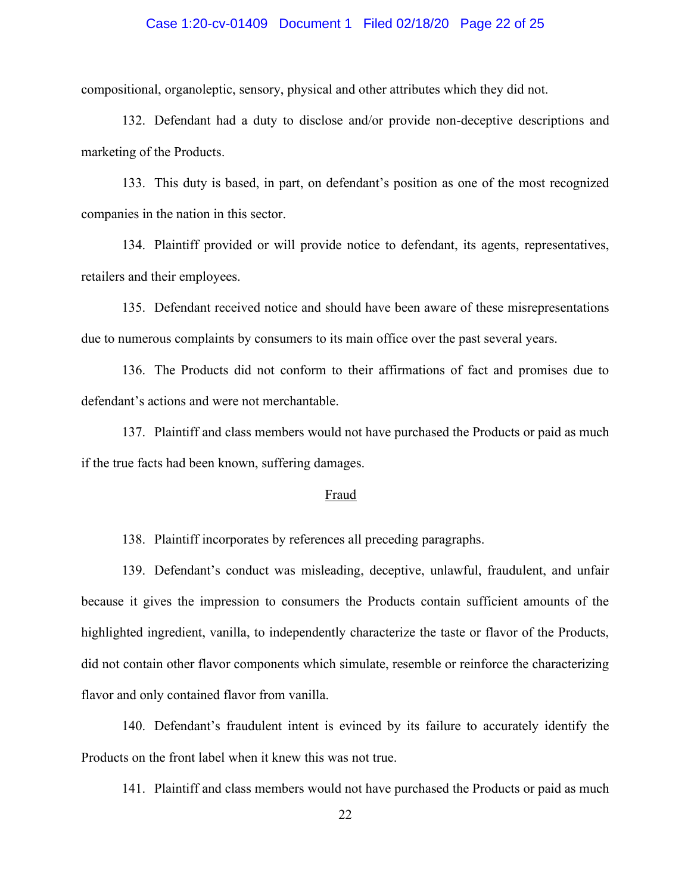## Case 1:20-cv-01409 Document 1 Filed 02/18/20 Page 22 of 25

compositional, organoleptic, sensory, physical and other attributes which they did not.

132. Defendant had a duty to disclose and/or provide non-deceptive descriptions and marketing of the Products.

133. This duty is based, in part, on defendant's position as one of the most recognized companies in the nation in this sector.

134. Plaintiff provided or will provide notice to defendant, its agents, representatives, retailers and their employees.

135. Defendant received notice and should have been aware of these misrepresentations due to numerous complaints by consumers to its main office over the past several years.

136. The Products did not conform to their affirmations of fact and promises due to defendant's actions and were not merchantable.

137. Plaintiff and class members would not have purchased the Products or paid as much if the true facts had been known, suffering damages.

## Fraud

138. Plaintiff incorporates by references all preceding paragraphs.

139. Defendant's conduct was misleading, deceptive, unlawful, fraudulent, and unfair because it gives the impression to consumers the Products contain sufficient amounts of the highlighted ingredient, vanilla, to independently characterize the taste or flavor of the Products, did not contain other flavor components which simulate, resemble or reinforce the characterizing flavor and only contained flavor from vanilla.

140. Defendant's fraudulent intent is evinced by its failure to accurately identify the Products on the front label when it knew this was not true.

141. Plaintiff and class members would not have purchased the Products or paid as much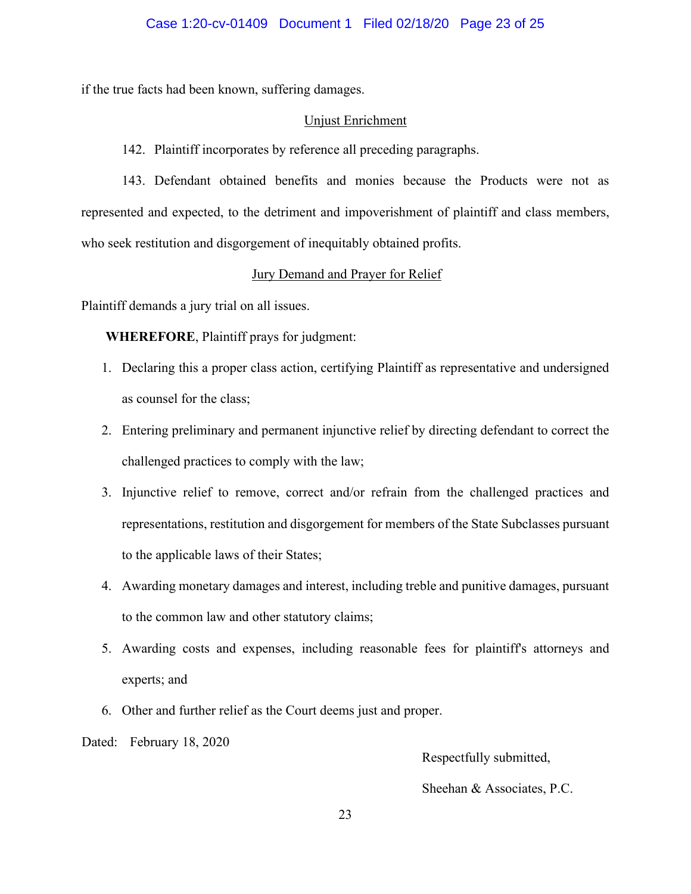if the true facts had been known, suffering damages.

## Unjust Enrichment

142. Plaintiff incorporates by reference all preceding paragraphs.

143. Defendant obtained benefits and monies because the Products were not as represented and expected, to the detriment and impoverishment of plaintiff and class members, who seek restitution and disgorgement of inequitably obtained profits.

## Jury Demand and Prayer for Relief

Plaintiff demands a jury trial on all issues.

**WHEREFORE**, Plaintiff prays for judgment:

- 1. Declaring this a proper class action, certifying Plaintiff as representative and undersigned as counsel for the class;
- 2. Entering preliminary and permanent injunctive relief by directing defendant to correct the challenged practices to comply with the law;
- 3. Injunctive relief to remove, correct and/or refrain from the challenged practices and representations, restitution and disgorgement for members of the State Subclasses pursuant to the applicable laws of their States;
- 4. Awarding monetary damages and interest, including treble and punitive damages, pursuant to the common law and other statutory claims;
- 5. Awarding costs and expenses, including reasonable fees for plaintiff's attorneys and experts; and
- 6. Other and further relief as the Court deems just and proper.

Dated: February 18, 2020

Respectfully submitted,

Sheehan & Associates, P.C.